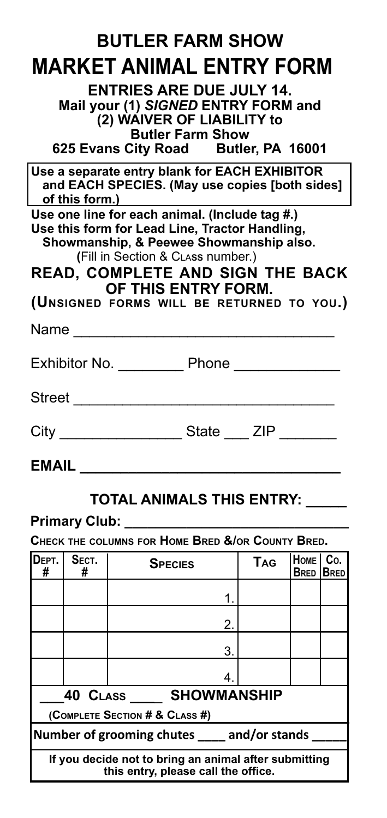| <b>BUTLER FARM SHOW</b>                                                                                                                                                                                                                                                                         |  |  |  |  |  |  |  |
|-------------------------------------------------------------------------------------------------------------------------------------------------------------------------------------------------------------------------------------------------------------------------------------------------|--|--|--|--|--|--|--|
| MARKET ANIMAL ENTRY FORM                                                                                                                                                                                                                                                                        |  |  |  |  |  |  |  |
| <b>ENTRIES ARE DUE JULY 14.</b><br>Mail your (1) SIGNED ENTRY FORM and<br>(2) WAIVER OF LIABILITY to<br><b>Butler Farm Show</b><br>625 Evans City Road Butler, PA 16001                                                                                                                         |  |  |  |  |  |  |  |
| Use a separate entry blank for EACH EXHIBITOR<br>and EACH SPECIES. (May use copies [both sides]<br>of this form.)                                                                                                                                                                               |  |  |  |  |  |  |  |
| Use one line for each animal. (Include tag #.)<br>Use this form for Lead Line, Tractor Handling,<br>Showmanship, & Peewee Showmanship also.<br>(Fill in Section & CLASS number.)<br><b>READ, COMPLETE AND SIGN THE BACK</b><br>OF THIS ENTRY FORM.<br>(UNSIGNED FORMS WILL BE RETURNED TO YOU.) |  |  |  |  |  |  |  |
| Name and the state of the state of the state of the state of the state of the state of the state of the state of the state of the state of the state of the state of the state of the state of the state of the state of the s                                                                  |  |  |  |  |  |  |  |
|                                                                                                                                                                                                                                                                                                 |  |  |  |  |  |  |  |
|                                                                                                                                                                                                                                                                                                 |  |  |  |  |  |  |  |
| City _______________________State _____ ZIP _________                                                                                                                                                                                                                                           |  |  |  |  |  |  |  |
| EMAIL                                                                                                                                                                                                                                                                                           |  |  |  |  |  |  |  |

## **TOTAL ANIMALS THIS ENTRY: \_\_\_\_\_**

## **Primary Club: \_\_\_\_\_\_\_\_\_\_\_\_\_\_\_\_\_\_\_\_\_\_\_\_\_\_\_\_\_**

**Check the columns for Home Bred &/or County Bred.**

| Dерт.<br>#                                                                                   | SECT.<br># | <b>SPECIES</b> | TAG | HOME<br><b>BRED</b> | Co.<br><b>BRED</b> |  |  |
|----------------------------------------------------------------------------------------------|------------|----------------|-----|---------------------|--------------------|--|--|
|                                                                                              |            |                |     |                     |                    |  |  |
|                                                                                              |            | 2.             |     |                     |                    |  |  |
|                                                                                              |            | 3.             |     |                     |                    |  |  |
|                                                                                              |            | 4              |     |                     |                    |  |  |
| 40 CLASS SHOWMANSHIP                                                                         |            |                |     |                     |                    |  |  |
| (COMPLETE SECTION # & CLASS #)                                                               |            |                |     |                     |                    |  |  |
| Number of grooming chutes _____ and/or stands                                                |            |                |     |                     |                    |  |  |
| If you decide not to bring an animal after submitting<br>this entry, please call the office. |            |                |     |                     |                    |  |  |